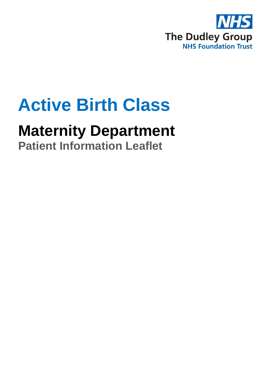

# **Active Birth Class**

## **Maternity Department**

**Patient Information Leaflet**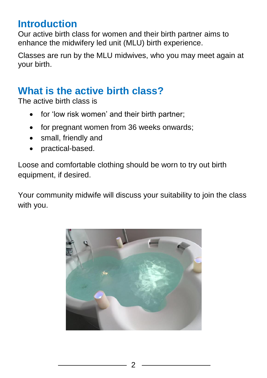#### **Introduction**

Our active birth class for women and their birth partner aims to enhance the midwifery led unit (MLU) birth experience.

Classes are run by the MLU midwives, who you may meet again at your birth.

## **What is the active birth class?**

The active birth class is

- for 'low risk women' and their birth partner;
- for pregnant women from 36 weeks onwards;
- small, friendly and
- practical-based.

Loose and comfortable clothing should be worn to try out birth equipment, if desired.

Your community midwife will discuss your suitability to join the class with you.

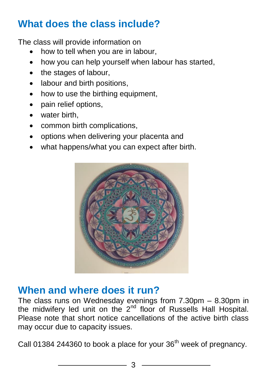### **What does the class include?**

The class will provide information on

- how to tell when you are in labour,
- how you can help yourself when labour has started,
- the stages of labour,
- labour and birth positions,
- how to use the birthing equipment,
- pain relief options,
- water birth,
- common birth complications.
- options when delivering your placenta and
- what happens/what you can expect after birth.



#### **When and where does it run?**

The class runs on Wednesday evenings from 7.30pm – 8.30pm in the midwifery led unit on the 2<sup>nd</sup> floor of Russells Hall Hospital. Please note that short notice cancellations of the active birth class may occur due to capacity issues.

Call 01384 244360 to book a place for your  $36<sup>th</sup>$  week of pregnancy.